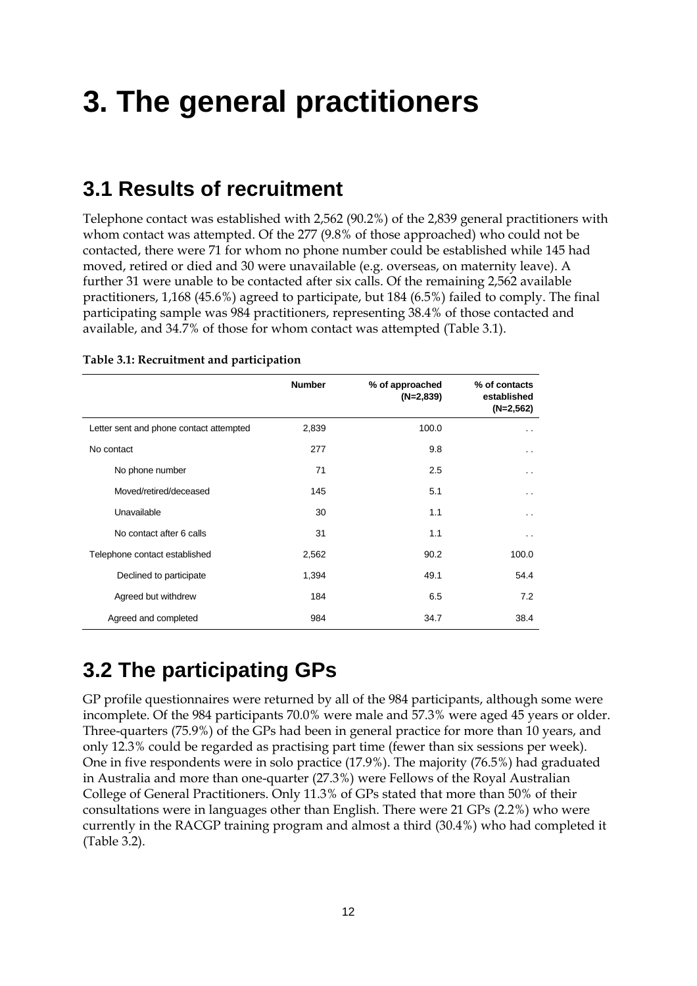# **3. The general practitioners**

#### **3.1 Results of recruitment**

Telephone contact was established with 2,562 (90.2%) of the 2,839 general practitioners with whom contact was attempted. Of the 277 (9.8% of those approached) who could not be contacted, there were 71 for whom no phone number could be established while 145 had moved, retired or died and 30 were unavailable (e.g. overseas, on maternity leave). A further 31 were unable to be contacted after six calls. Of the remaining 2,562 available practitioners, 1,168 (45.6%) agreed to participate, but 184 (6.5%) failed to comply. The final participating sample was 984 practitioners, representing 38.4% of those contacted and available, and 34.7% of those for whom contact was attempted (Table 3.1).

|                                         | <b>Number</b> | % of approached<br>$(N=2,839)$ | % of contacts<br>established<br>$(N=2,562)$ |
|-----------------------------------------|---------------|--------------------------------|---------------------------------------------|
| Letter sent and phone contact attempted | 2,839         | 100.0                          | . .                                         |
| No contact                              | 277           | 9.8                            | $\cdot$ .                                   |
| No phone number                         | 71            | 2.5                            | . .                                         |
| Moved/retired/deceased                  | 145           | 5.1                            | . .                                         |
| Unavailable                             | 30            | 1.1                            | . .                                         |
| No contact after 6 calls                | 31            | 1.1                            | . .                                         |
| Telephone contact established           | 2,562         | 90.2                           | 100.0                                       |
| Declined to participate                 | 1,394         | 49.1                           | 54.4                                        |
| Agreed but withdrew                     | 184           | 6.5                            | 7.2                                         |
| Agreed and completed                    | 984           | 34.7                           | 38.4                                        |

#### **Table 3.1: Recruitment and participation**

### **3.2 The participating GPs**

GP profile questionnaires were returned by all of the 984 participants, although some were incomplete. Of the 984 participants 70.0% were male and 57.3% were aged 45 years or older. Three-quarters (75.9%) of the GPs had been in general practice for more than 10 years, and only 12.3% could be regarded as practising part time (fewer than six sessions per week). One in five respondents were in solo practice (17.9%). The majority (76.5%) had graduated in Australia and more than one-quarter (27.3%) were Fellows of the Royal Australian College of General Practitioners. Only 11.3% of GPs stated that more than 50% of their consultations were in languages other than English. There were 21 GPs (2.2%) who were currently in the RACGP training program and almost a third (30.4%) who had completed it (Table 3.2).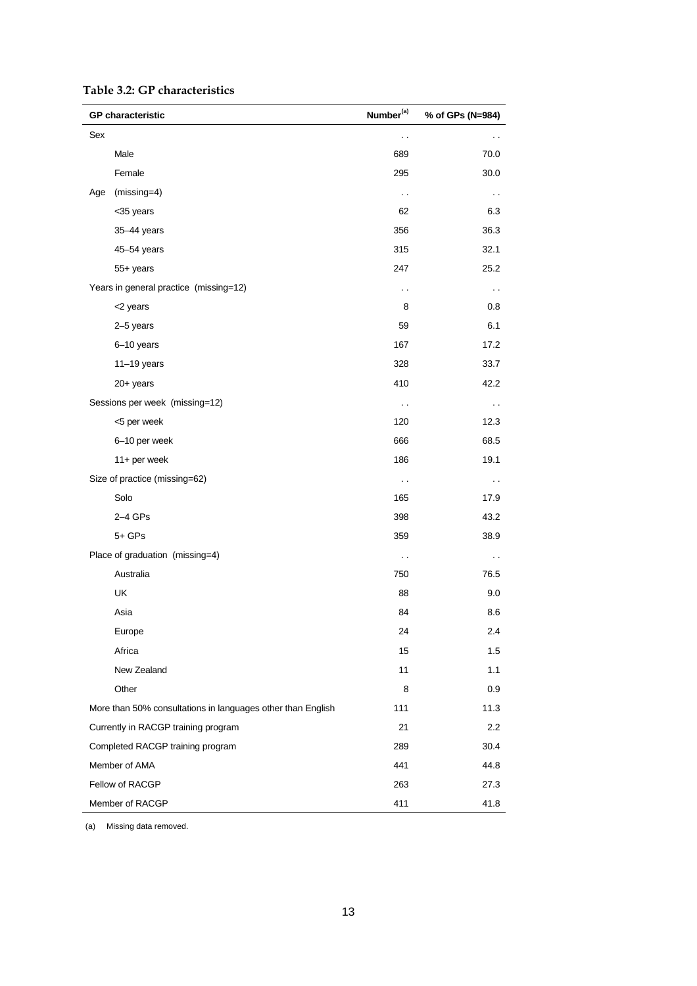|  |  | Table 3.2: GP characteristics |  |
|--|--|-------------------------------|--|
|--|--|-------------------------------|--|

| <b>GP</b> characteristic                                    | Number <sup>(a)</sup> | % of GPs (N=984)     |  |
|-------------------------------------------------------------|-----------------------|----------------------|--|
| Sex                                                         | $\sim$                | . .                  |  |
| Male                                                        | 689                   | 70.0                 |  |
| Female                                                      | 295                   | 30.0                 |  |
| $(missing=4)$<br>Age                                        | $\ddotsc$             | $\sim$               |  |
| <35 years                                                   | 62                    | 6.3                  |  |
| 35-44 years                                                 | 356                   | 36.3                 |  |
| 45-54 years                                                 | 315                   | 32.1                 |  |
| 55+ years                                                   | 247                   | 25.2                 |  |
| Years in general practice (missing=12)                      | . .                   | $\sim$               |  |
| <2 years                                                    | 8                     | 0.8                  |  |
| 2-5 years                                                   | 59                    | 6.1                  |  |
| 6-10 years                                                  | 167                   | 17.2                 |  |
| $11-19$ years                                               | 328                   | 33.7                 |  |
| $20+$ years                                                 | 410                   | 42.2                 |  |
| Sessions per week (missing=12)                              | $\sim$                | $\sim$               |  |
| <5 per week                                                 | 120                   | 12.3                 |  |
| 6-10 per week                                               | 666                   | 68.5                 |  |
| 11+ per week                                                | 186                   | 19.1                 |  |
| Size of practice (missing=62)                               | $\sim$                | $\ddot{\phantom{1}}$ |  |
| Solo                                                        | 165                   | 17.9                 |  |
| $2-4$ GPs                                                   | 398                   | 43.2                 |  |
| $5+$ GPs                                                    | 359                   | 38.9                 |  |
| Place of graduation (missing=4)                             | $\sim$                | $\sim$               |  |
| Australia                                                   | 750                   | 76.5                 |  |
| UK                                                          | 88                    | 9.0                  |  |
| Asia                                                        | 84                    | 8.6                  |  |
| Europe                                                      | 24                    | 2.4                  |  |
| Africa                                                      | 15                    | 1.5                  |  |
| New Zealand                                                 | 11                    | 1.1                  |  |
| Other                                                       | 8                     | 0.9                  |  |
| More than 50% consultations in languages other than English | 111                   | 11.3                 |  |
| Currently in RACGP training program                         | 21                    | 2.2                  |  |
| Completed RACGP training program                            | 289                   | 30.4                 |  |
| Member of AMA                                               | 441                   | 44.8                 |  |
| Fellow of RACGP                                             | 263                   | 27.3                 |  |
| Member of RACGP                                             | 411                   | 41.8                 |  |

(a) Missing data removed.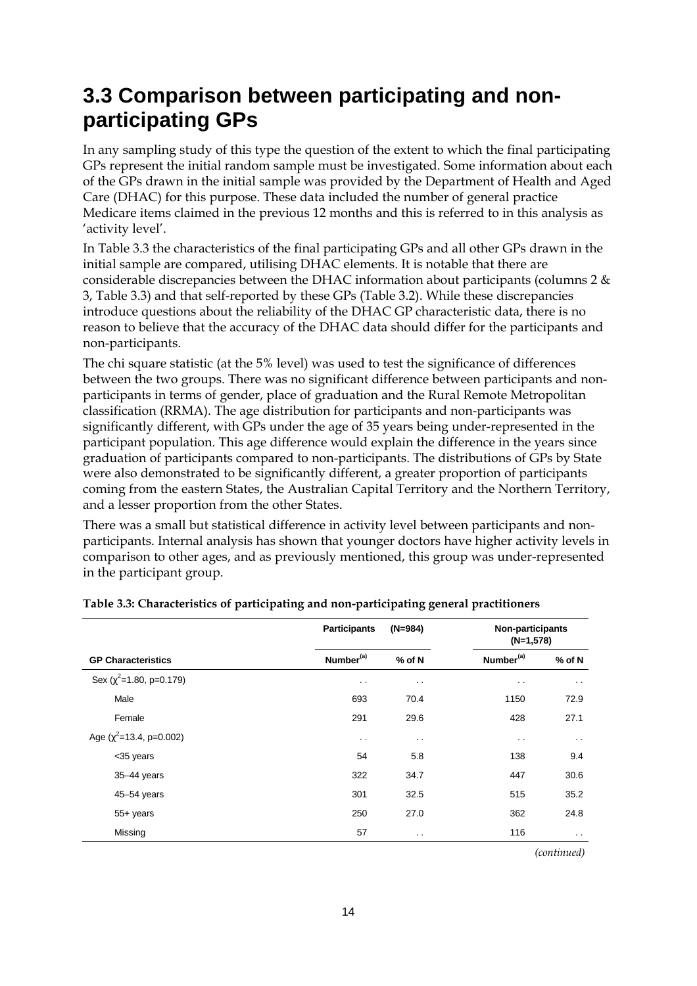## **3.3 Comparison between participating and nonparticipating GPs**

In any sampling study of this type the question of the extent to which the final participating GPs represent the initial random sample must be investigated. Some information about each of the GPs drawn in the initial sample was provided by the Department of Health and Aged Care (DHAC) for this purpose. These data included the number of general practice Medicare items claimed in the previous 12 months and this is referred to in this analysis as 'activity level'.

In Table 3.3 the characteristics of the final participating GPs and all other GPs drawn in the initial sample are compared, utilising DHAC elements. It is notable that there are considerable discrepancies between the DHAC information about participants (columns 2 & 3, Table 3.3) and that self-reported by these GPs (Table 3.2). While these discrepancies introduce questions about the reliability of the DHAC GP characteristic data, there is no reason to believe that the accuracy of the DHAC data should differ for the participants and non-participants.

The chi square statistic (at the 5% level) was used to test the significance of differences between the two groups. There was no significant difference between participants and nonparticipants in terms of gender, place of graduation and the Rural Remote Metropolitan classification (RRMA). The age distribution for participants and non-participants was significantly different, with GPs under the age of 35 years being under-represented in the participant population. This age difference would explain the difference in the years since graduation of participants compared to non-participants. The distributions of GPs by State were also demonstrated to be significantly different, a greater proportion of participants coming from the eastern States, the Australian Capital Territory and the Northern Territory, and a lesser proportion from the other States.

There was a small but statistical difference in activity level between participants and nonparticipants. Internal analysis has shown that younger doctors have higher activity levels in comparison to other ages, and as previously mentioned, this group was under-represented in the participant group.

|                                | <b>Participants</b>   | $(N=984)$            |                       | <b>Non-participants</b><br>$(N=1,578)$ |  |
|--------------------------------|-----------------------|----------------------|-----------------------|----------------------------------------|--|
| <b>GP Characteristics</b>      | Number <sup>(a)</sup> | $%$ of N             | Number <sup>(a)</sup> | $%$ of N                               |  |
| Sex ( $\chi^2$ =1.80, p=0.179) | $\sim$ $\sim$         | $\sim$               | $\sim$                | $\sim$                                 |  |
| Male                           | 693                   | 70.4                 | 1150                  | 72.9                                   |  |
| Female                         | 291                   | 29.6                 | 428                   | 27.1                                   |  |
| Age ( $\chi^2$ =13.4, p=0.002) | $\sim$ $\sim$         | $\ddot{\phantom{0}}$ | $\sim$ $\sim$         | $\sim$ $\sim$                          |  |
| <35 years                      | 54                    | 5.8                  | 138                   | 9.4                                    |  |
| $35 - 44$ years                | 322                   | 34.7                 | 447                   | 30.6                                   |  |
| 45-54 years                    | 301                   | 32.5                 | 515                   | 35.2                                   |  |
| $55+$ years                    | 250                   | 27.0                 | 362                   | 24.8                                   |  |
| Missing                        | 57                    | $\ddot{\phantom{0}}$ | 116                   | $\sim$ $\sim$                          |  |

| Table 3.3: Characteristics of participating and non-participating general practitioners |  |  |  |
|-----------------------------------------------------------------------------------------|--|--|--|
|-----------------------------------------------------------------------------------------|--|--|--|

 *(continued)*